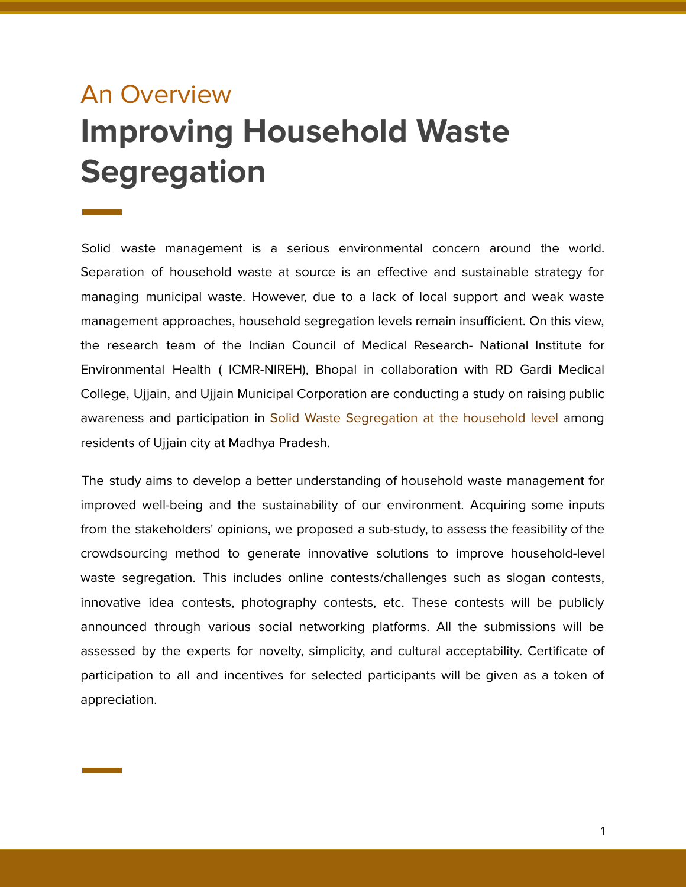# An Overview **Improving Household Waste Segregation**

Solid waste management is a serious environmental concern around the world. Separation of household waste at source is an effective and sustainable strategy for managing municipal waste. However, due to a lack of local support and weak waste management approaches, household segregation levels remain insufficient. On this view, the research team of the Indian Council of Medical Research- National Institute for Environmental Health ( ICMR-NIREH), Bhopal in collaboration with RD Gardi Medical College, Ujjain, and Ujjain Municipal Corporation are conducting a study on raising public awareness and participation in Solid Waste Segregation at the household level among residents of Ujjain city at Madhya Pradesh.

The study aims to develop a better understanding of household waste management for improved well-being and the sustainability of our environment. Acquiring some inputs from the stakeholders' opinions, we proposed a sub-study, to assess the feasibility of the crowdsourcing method to generate innovative solutions to improve household-level waste segregation. This includes online contests/challenges such as slogan contests, innovative idea contests, photography contests, etc. These contests will be publicly announced through various social networking platforms. All the submissions will be assessed by the experts for novelty, simplicity, and cultural acceptability. Certificate of participation to all and incentives for selected participants will be given as a token of appreciation.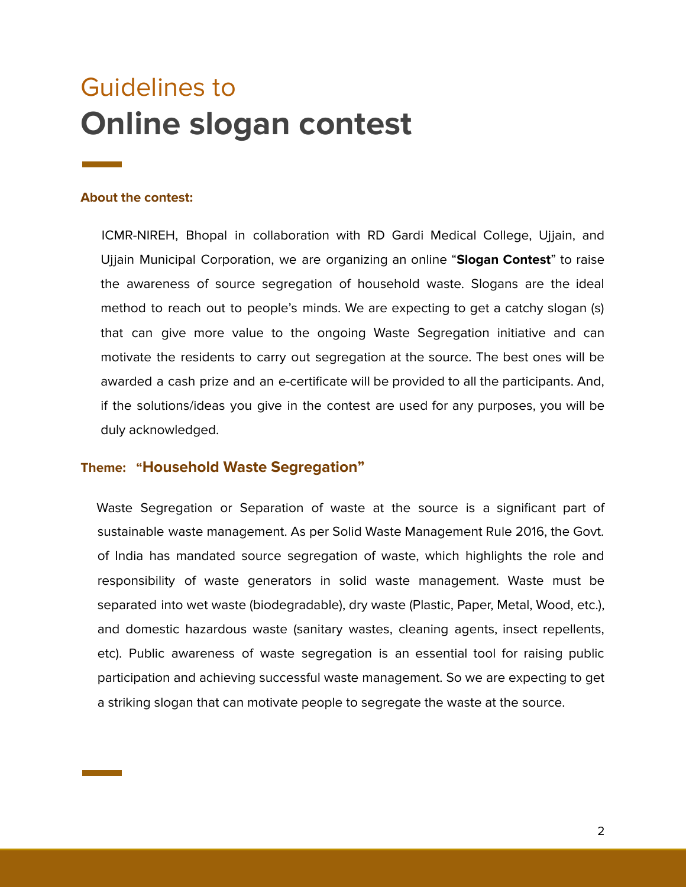# Guidelines to **Online slogan contest**

#### **About the contest:**

ICMR-NIREH, Bhopal in collaboration with RD Gardi Medical College, Ujjain, and Ujjain Municipal Corporation, we are organizing an online "**Slogan Contest**" to raise the awareness of source segregation of household waste. Slogans are the ideal method to reach out to people's minds. We are expecting to get a catchy slogan (s) that can give more value to the ongoing Waste Segregation initiative and can motivate the residents to carry out segregation at the source. The best ones will be awarded a cash prize and an e-certificate will be provided to all the participants. And, if the solutions/ideas you give in the contest are used for any purposes, you will be duly acknowledged.

# **Theme: "Household Waste Segregation"**

Waste Segregation or Separation of waste at the source is a significant part of sustainable waste management. As per Solid Waste Management Rule 2016, the Govt. of India has mandated source segregation of waste, which highlights the role and responsibility of waste generators in solid waste management. Waste must be separated into wet waste (biodegradable), dry waste (Plastic, Paper, Metal, Wood, etc.), and domestic hazardous waste (sanitary wastes, cleaning agents, insect repellents, etc). Public awareness of waste segregation is an essential tool for raising public participation and achieving successful waste management. So we are expecting to get a striking slogan that can motivate people to segregate the waste at the source.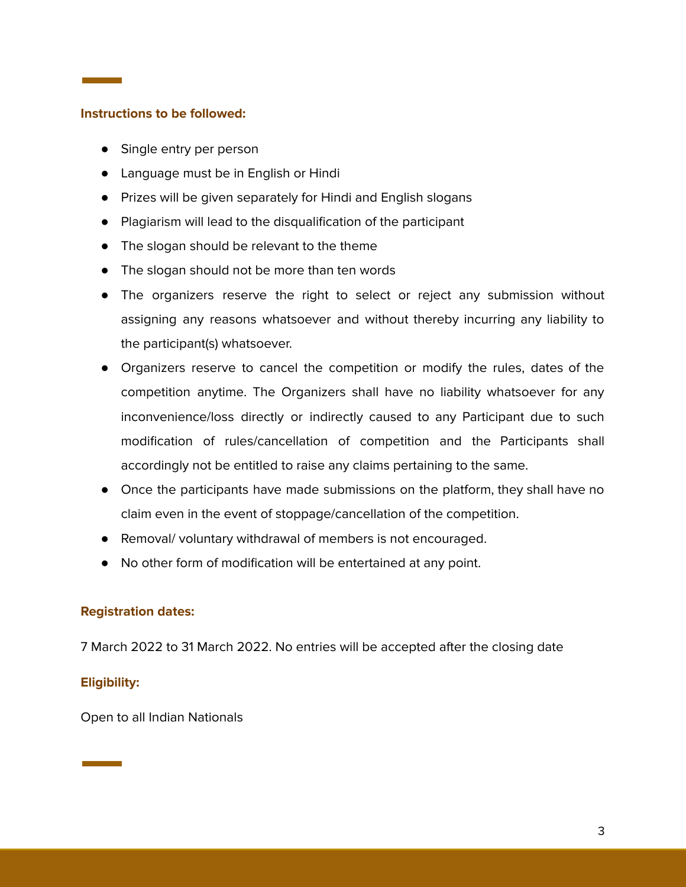#### **Instructions to be followed:**

- Single entry per person
- Language must be in English or Hindi
- Prizes will be given separately for Hindi and English slogans
- Plagiarism will lead to the disqualification of the participant
- The slogan should be relevant to the theme
- The slogan should not be more than ten words
- The organizers reserve the right to select or reject any submission without assigning any reasons whatsoever and without thereby incurring any liability to the participant(s) whatsoever.
- Organizers reserve to cancel the competition or modify the rules, dates of the competition anytime. The Organizers shall have no liability whatsoever for any inconvenience/loss directly or indirectly caused to any Participant due to such modification of rules/cancellation of competition and the Participants shall accordingly not be entitled to raise any claims pertaining to the same.
- Once the participants have made submissions on the platform, they shall have no claim even in the event of stoppage/cancellation of the competition.
- Removal/ voluntary withdrawal of members is not encouraged.
- No other form of modification will be entertained at any point.

#### **Registration dates:**

7 March 2022 to 31 March 2022. No entries will be accepted after the closing date

#### **Eligibility:**

Open to all Indian Nationals